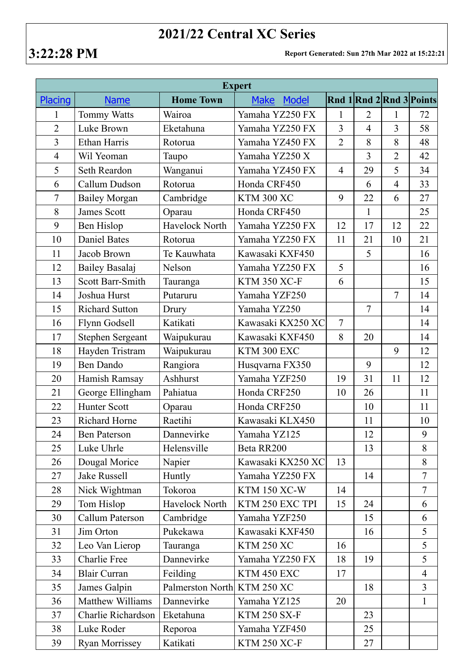## **2021/22 Central XC Series**

**3:22:28 PM Report Generated: Sun 27th Mar 2022 at 15:22:21**

| <b>Expert</b>  |                         |                  |                      |                |                |                |                          |  |  |
|----------------|-------------------------|------------------|----------------------|----------------|----------------|----------------|--------------------------|--|--|
| Placing        | <b>Name</b>             | <b>Home Town</b> | <b>Make</b><br>Model |                |                |                | Rnd 1 Rnd 2 Rnd 3 Points |  |  |
| $\mathbf{1}$   | <b>Tommy Watts</b>      | Wairoa           | Yamaha YZ250 FX      | $\mathbf{1}$   | $\overline{2}$ | $\mathbf{1}$   | 72                       |  |  |
| $\overline{2}$ | Luke Brown              | Eketahuna        | Yamaha YZ250 FX      | $\overline{3}$ | $\overline{4}$ | $\overline{3}$ | 58                       |  |  |
| 3              | <b>Ethan Harris</b>     | Rotorua          | Yamaha YZ450 FX      | $\overline{2}$ | 8              | 8              | 48                       |  |  |
| $\overline{4}$ | Wil Yeoman              | Taupo            | Yamaha YZ250 X       |                | 3              | $\overline{2}$ | 42                       |  |  |
| 5              | Seth Reardon            | Wanganui         | Yamaha YZ450 FX      | $\overline{4}$ | 29             | 5              | 34                       |  |  |
| 6              | Callum Dudson           | Rotorua          | Honda CRF450         |                | 6              | $\overline{4}$ | 33                       |  |  |
| $\overline{7}$ | <b>Bailey Morgan</b>    | Cambridge        | <b>KTM 300 XC</b>    | 9              | 22             | 6              | 27                       |  |  |
| 8              | <b>James Scott</b>      | Oparau           | Honda CRF450         |                | $\mathbf{1}$   |                | 25                       |  |  |
| 9              | Ben Hislop              | Havelock North   | Yamaha YZ250 FX      | 12             | 17             | 12             | 22                       |  |  |
| 10             | <b>Daniel Bates</b>     | Rotorua          | Yamaha YZ250 FX      | 11             | 21             | 10             | 21                       |  |  |
| 11             | Jacob Brown             | Te Kauwhata      | Kawasaki KXF450      |                | 5              |                | 16                       |  |  |
| 12             | Bailey Basalaj          | Nelson           | Yamaha YZ250 FX      | 5              |                |                | 16                       |  |  |
| 13             | <b>Scott Barr-Smith</b> | Tauranga         | <b>KTM 350 XC-F</b>  | 6              |                |                | 15                       |  |  |
| 14             | Joshua Hurst            | Putaruru         | Yamaha YZF250        |                |                | $\overline{7}$ | 14                       |  |  |
| 15             | <b>Richard Sutton</b>   | Drury            | Yamaha YZ250         |                | $\overline{7}$ |                | 14                       |  |  |
| 16             | Flynn Godsell           | Katikati         | Kawasaki KX250 XC    | $\overline{7}$ |                |                | 14                       |  |  |
| 17             | <b>Stephen Sergeant</b> | Waipukurau       | Kawasaki KXF450      | 8              | 20             |                | 14                       |  |  |
| 18             | Hayden Tristram         | Waipukurau       | KTM 300 EXC          |                |                | 9              | 12                       |  |  |
| 19             | <b>Ben Dando</b>        | Rangiora         | Husqvarna FX350      |                | 9              |                | 12                       |  |  |
| 20             | Hamish Ramsay           | Ashhurst         | Yamaha YZF250        | 19             | 31             | 11             | 12                       |  |  |
| 21             | George Ellingham        | Pahiatua         | Honda CRF250         | 10             | 26             |                | 11                       |  |  |
| 22             | <b>Hunter Scott</b>     | Oparau           | Honda CRF250         |                | 10             |                | 11                       |  |  |
| 23             | <b>Richard Horne</b>    | Raetihi          | Kawasaki KLX450      |                | 11             |                | 10                       |  |  |
| 24             | <b>Ben Paterson</b>     | Dannevirke       | Yamaha YZ125         |                | 12             |                | 9                        |  |  |
| 25             | Luke Uhrle              | Helensville      | Beta RR200           |                | 13             |                | 8                        |  |  |
| 26             | Dougal Morice           | Napier           | Kawasaki KX250 XC    | 13             |                |                | $8\,$                    |  |  |
| 27             | <b>Jake Russell</b>     | Huntly           | Yamaha YZ250 FX      |                | 14             |                | $\overline{7}$           |  |  |
| 28             | Nick Wightman           | Tokoroa          | <b>KTM 150 XC-W</b>  | 14             |                |                | $\overline{7}$           |  |  |
| 29             | Tom Hislop              | Havelock North   | KTM 250 EXC TPI      | 15             | 24             |                | 6                        |  |  |
| 30             | <b>Callum Paterson</b>  | Cambridge        | Yamaha YZF250        |                | 15             |                | 6                        |  |  |
| 31             | Jim Orton               | Pukekawa         | Kawasaki KXF450      |                | 16             |                | 5                        |  |  |
| 32             | Leo Van Lierop          | Tauranga         | <b>KTM 250 XC</b>    | 16             |                |                | 5                        |  |  |
| 33             | <b>Charlie Free</b>     | Dannevirke       | Yamaha YZ250 FX      | 18             | 19             |                | 5                        |  |  |
| 34             | <b>Blair Curran</b>     | Feilding         | KTM 450 EXC          | 17             |                |                | $\overline{4}$           |  |  |
| 35             | James Galpin            | Palmerston North | <b>KTM 250 XC</b>    |                | 18             |                | $\overline{3}$           |  |  |
| 36             | <b>Matthew Williams</b> | Dannevirke       | Yamaha YZ125         | 20             |                |                | $\mathbf{1}$             |  |  |
| 37             | Charlie Richardson      | Eketahuna        | <b>KTM 250 SX-F</b>  |                | 23             |                |                          |  |  |
| 38             | Luke Roder              | Reporoa          | Yamaha YZF450        |                | 25             |                |                          |  |  |
| 39             | <b>Ryan Morrissey</b>   | Katikati         | <b>KTM 250 XC-F</b>  |                | 27             |                |                          |  |  |